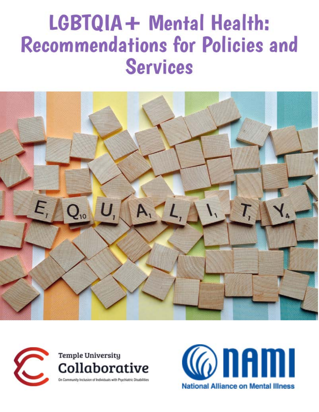# LGBTQIA+ Mental Health: **Recommendations for Policies and Services**





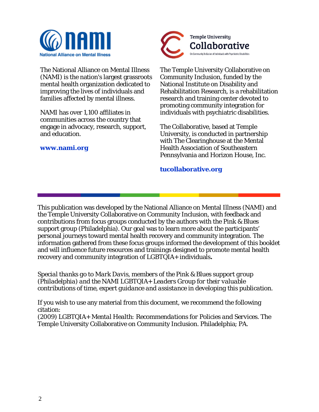

The National Alliance on Mental Illness (NAMI) is the nation's largest grassroots mental health organization dedicated to improving the lives of individuals and families affected by mental illness.

NAMI has over 1,100 affiliates in communities across the country that engage in advocacy, research, support, and education.

**www.nami.org**



The Temple University Collaborative on Community Inclusion, funded by the National Institute on Disability and Rehabilitation Research, is a rehabilitation research and training center devoted to promoting community integration for individuals with psychiatric disabilities.

The Collaborative, based at Temple University, is conducted in partnership with The Clearinghouse at the Mental Health Association of Southeastern Pennsylvania and Horizon House, Inc.

#### **tucollaborative.org**

This publication was developed by the National Alliance on Mental Illness (NAMI) and the Temple University Collaborative on Community Inclusion, with feedback and contributions from focus groups conducted by the authors with the Pink & Blues support group (Philadelphia). Our goal was to learn more about the participants' personal journeys toward mental health recovery and community integration. The information gathered from these focus groups informed the development of this booklet and will influence future resources and trainings designed to promote mental health recovery and community integration of LGBTQIA+ individuals**.**

*Special thanks go to Mark Davis, members of the Pink & Blues support group (Philadelphia) and the NAMI LGBTQIA+ Leaders Group for their valuable contributions of time, expert guidance and assistance in developing this publication.*

If you wish to use any material from this document, we recommend the following citation:

(2009) *LGBTQIA+ Mental Health: Recommendations for Policies and Services*. The Temple University Collaborative on Community Inclusion. Philadelphia; PA.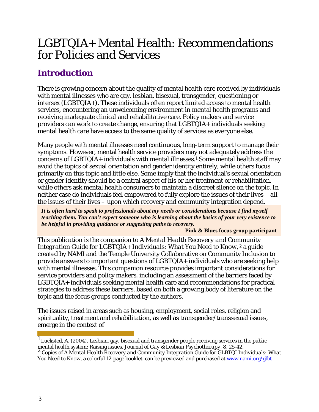## LGBTQIA+ Mental Health: Recommendations for Policies and Services

## **Introduction**

There is growing concern about the quality of mental health care received by individuals with mental illnesses who are gay, lesbian, bisexual, transgender, questioning or intersex (LGBTQIA+). These individuals often report limited access to mental health services, encountering an unwelcoming environment in mental health programs and receiving inadequate clinical and rehabilitative care. Policy makers and service providers can work to create change, ensuring that LGBTQIA+ individuals seeking mental health care have access to the same quality of services as everyone else.

Many people with mental illnesses need continuous, long-term support to manage their symptoms. However, mental health service providers may not adequately address the concerns of LGBTQIA+ individuals with mental illnesses.1 Some mental health staff may avoid the topics of sexual orientation and gender identity entirely, while others focus primarily on this topic and little else. Some imply that the individual's sexual orientation or gender identity should be a central aspect of his or her treatment or rehabilitation, while others ask mental health consumers to maintain a discreet silence on the topic. In neither case do individuals feel empowered to fully explore the issues of their lives – *all*  the issues of their lives – upon which recovery and community integration depend.

*It is often hard to speak to professionals about my needs or considerations because I find myself teaching them. You can't expect someone who is learning about the basics of your very existence to be helpful in providing guidance or suggesting paths to recovery.*

**– Pink & Blues focus group participant**

This publication is the companion to *A Mental Health Recovery and Community Integration Guide for LGBTQIA+ Individuals: What You Need to Know, <sup>2</sup>* a guide created by NAMI and the Temple University Collaborative on Community Inclusion to provide answers to important questions of LGBTQIA+ individuals who are seeking help with mental illnesses. This companion resource provides important considerations for service providers and policy makers, including an assessment of the barriers faced by LGBTQIA+ individuals seeking mental health care and recommendations for practical strategies to address these barriers, based on both a growing body of literature on the topic and the focus groups conducted by the authors.

The issues raised in areas such as housing, employment, social roles, religion and spirituality, treatment and rehabilitation, as well as transgender/transsexual issues, emerge in the context of

<sup>1</sup> Lucksted, A. (2004). Lesbian, gay, bisexual and transgender people receiving services in the public mental health system: Raising issues. *Journal of Gay & Lesbian Psychotherapy, 8, 25-42.*<br><sup>2</sup> Copies of *A Mental Health Recovery and Community Integration Guide for GLBTQI Individuals: What* 

*You Need to Know*, a colorful 12-page booklet, can be previewed and purchased at www.nami.org/glbt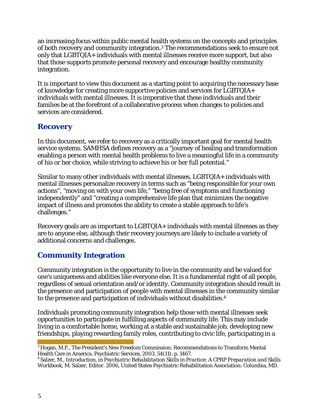an increasing focus within public mental health systems on the concepts and principles of both recovery and community integration.3 The recommendations seek to ensure not only that LGBTQIA+ individuals with mental illnesses receive more support, but also that those supports promote personal recovery and encourage healthy community integration.

It is important to view this document as a starting point to acquiring the necessary base of knowledge for creating more supportive policies and services for LGBTQIA+ individuals with mental illnesses. It is imperative that these individuals and their families be at the forefront of a collaborative process when changes to policies and services are considered.

## **Recovery**

In this document, we refer to recovery as a critically important goal for mental health service systems. SAMHSA defines recovery as a "journey of healing and transformation enabling a person with mental health problems to live a meaningful life in a community of his or her choice, while striving to achieve his or her full potential."

Similar to many other individuals with mental illnesses, LGBTQIA+ individuals with mental illnesses personalize recovery in terms such as "being responsible for your own actions", "moving on with your own life," "being free of symptoms and functioning independently" and "creating a comprehensive life plan that minimizes the negative impact of illness and promotes the ability to create a stable approach to life's challenges."

Recovery goals are as important to LGBTQIA+ individuals with mental illnesses as they are to anyone else, although their recovery journeys are likely to include a variety of additional concerns and challenges.

## **Community Integration**

Community integration is the opportunity to live in the community and be valued for one's uniqueness and abilities like everyone else. It is a fundamental right of all people, regardless of sexual orientation and/or identity. Community integration should result in the presence and participation of people with mental illnesses in the community similar to the presence and participation of individuals without disabilities.4

Individuals promoting community integration help those with mental illnesses seek opportunities to participate in fulfilling aspects of community life. This may include living in a comfortable home, working at a stable and sustainable job, developing new friendships, playing rewarding family roles, contributing to civic life, participating in a

<sup>3</sup> Hogan, M.F., The President's New Freedom Commission: Recommendations to Transform Mental Health Care in America. Psychiatric Services, 2003. 54(11): p. 1467.

<sup>4</sup> Salzer, M., *Introduction*, in *Psychiatric Rehabilitation Skills in Practice: A CPRP Preparation and Skills Workbook*, M. Salzer, Editor. 2006, United States Psychiatric Rehabilitation Association: Columbia, MD.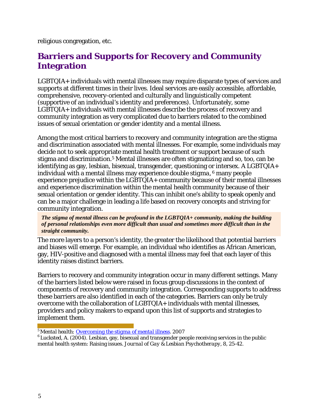religious congregation, etc.

## **Barriers and Supports for Recovery and Community Integration**

LGBTQIA+ individuals with mental illnesses may require disparate types of services and supports at different times in their lives. Ideal services are easily accessible, affordable, comprehensive, recovery-oriented and culturally and linguistically competent (supportive of an individual's identity and preferences). Unfortunately, some LGBTQIA+ individuals with mental illnesses describe the process of recovery and community integration as very complicated due to barriers related to the combined issues of sexual orientation or gender identity and a mental illness.

Among the most critical barriers to recovery and community integration are the stigma and discrimination associated with mental illnesses. For example, some individuals may decide not to seek appropriate mental health treatment or support because of such stigma and discrimination.5 Mental illnesses are often stigmatizing and so, too, can be identifying as gay, lesbian, bisexual, transgender, questioning or intersex. A LGBTQIA+ individual with a mental illness may experience *double stigma*, <sup>6</sup> many people experience prejudice within the LGBTQIA+ community because of their mental illnesses *and* experience discrimination within the mental health community because of their sexual orientation or gender identity. This can inhibit one's ability to speak openly and can be a major challenge in leading a life based on recovery concepts and striving for community integration.

*The stigma of mental illness can be profound in the LGBTQIA+ community, making the building of personal relationships even more difficult than usual and sometimes more difficult than in the straight community.*

The more layers to a person's identity, the greater the likelihood that potential barriers and biases will emerge. For example, an individual who identifies as African American, gay, HIV-positive and diagnosed with a mental illness may feel that each layer of this identity raises distinct barriers.

Barriers to recovery and community integration occur in many different settings. Many of the barriers listed below were raised in focus group discussions in the context of components of recovery and community integration. Corresponding supports to address these barriers are also identified in each of the categories. Barriers can only be truly overcome with the collaboration of LGBTQIA+ individuals with mental illnesses, providers and policy makers to expand upon this list of supports and strategies to implement them.

<sup>5</sup>*Mental health[: Overcoming the stigma of mental illness](http://mayoclinic.com/health/mental-%20health/MH00076)*. 2007

 $6$  Lucksted, A. (2004). Lesbian, gay, bisexual and transgender people receiving services in the public mental health system: Raising issues. *Journal of Gay & Lesbian Psychotherapy,* 8, 25-42.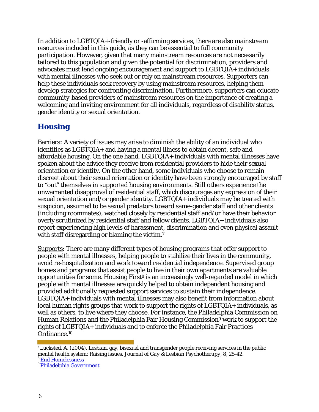In addition to LGBTQIA+-friendly or -affirming services, there are also mainstream resources included in this guide, as they can be essential to full community participation. However, given that many mainstream resources are not necessarily tailored to this population and given the potential for discrimination, providers and advocates must lend ongoing encouragement and support to LGBTQIA+ individuals with mental illnesses who seek out or rely on mainstream resources. Supporters can help these individuals seek recovery by using mainstream resources, helping them develop strategies for confronting discrimination. Furthermore, supporters can educate community-based providers of mainstream resources on the importance of creating a welcoming and inviting environment for all individuals, regardless of disability status, gender identity or sexual orientation.

## **Housing**

Barriers: A variety of issues may arise to diminish the ability of an individual who identifies as LGBTQIA+ and having a mental illness to obtain decent, safe and affordable housing. On the one hand, LGBTQIA+ individuals with mental illnesses have spoken about the advice they receive from residential providers to hide their sexual orientation or identity. On the other hand, some individuals who choose to remain discreet about their sexual orientation or identity have been strongly encouraged by staff to "out" themselves in supported housing environments. Still others experience the unwarranted disapproval of residential staff, which discourages any expression of their sexual orientation and/or gender identity. LGBTQIA+ individuals may be treated with suspicion, assumed to be sexual predators toward same-gender staff and other clients (including roommates), watched closely by residential staff and/or have their behavior overly scrutinized by residential staff and fellow clients. LGBTQIA+ individuals also report experiencing high levels of harassment, discrimination and even physical assault with staff disregarding or blaming the victim.<sup>7</sup>

Supports: There are many different types of housing programs that offer support to people with mental illnesses, helping people to stabilize their lives in the community, avoid re-hospitalization and work toward residential independence. Supervised group homes and programs that assist people to live in their own apartments are valuable opportunities for some. Housing First<sup>8</sup> is an increasingly well-regarded model in which people with mental illnesses are quickly helped to obtain independent housing and provided additionally requested support services to sustain their independence. LGBTQIA+ individuals with mental illnesses may also benefit from information about local human rights groups that work to support the rights of LGBTQIA+ individuals, as well as others, to live where they choose. For instance, the Philadelphia Commission on Human Relations and the Philadelphia Fair Housing Commission9 work to support the rights of LGBTQIA+ individuals and to enforce the Philadelphia Fair Practices Ordinance.10

Lucksted, A. (2004). Lesbian, gay, bisexual and transgender people receiving services in the public mental health system: Raising issues. *Journal of Gay & Lesbian Psychotherapy,* 8, 25-42. <sup>8</sup> End Homelessness

<sup>&</sup>lt;sup>9</sup> Philadelphia Government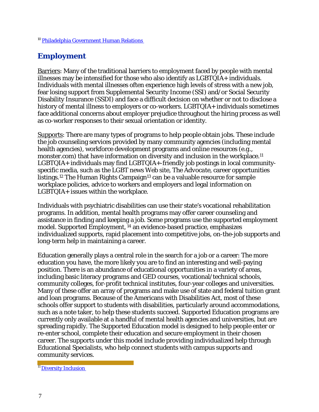## **Employment**

Barriers: Many of the traditional barriers to employment faced by people with mental illnesses may be intensified for those who also identify as LGBTQIA+ individuals. Individuals with mental illnesses often experience high levels of stress with a new job, fear losing support from Supplemental Security Income (SSI) and/or Social Security Disability Insurance (SSDI) and face a difficult decision on whether or not to disclose a history of mental illness to employers or co-workers. LGBTQIA+ individuals sometimes face additional concerns about employer prejudice throughout the hiring process as well as co-worker responses to their sexual orientation or identity.

Supports: There are many types of programs to help people obtain jobs. These include the job counseling services provided by many community agencies (including mental health agencies), workforce development programs and online resources (*e.g.*, monster.com) that have information on diversity and inclusion in the workplace.<sup>11</sup> LGBTQIA+ individuals may find LGBTQIA+-friendly job postings in local communityspecific media, such as the LGBT news Web site, *The Advocate,* career opportunities listings.<sup>12</sup> The Human Rights Campaign<sup>13</sup> can be a valuable resource for sample workplace policies, advice to workers and employers and legal information on LGBTQIA+ issues within the workplace.

Individuals with psychiatric disabilities can use their state's vocational rehabilitation programs. In addition, mental health programs may offer career counseling and assistance in finding and keeping a job. Some programs use the supported employment model. Supported Employment, <sup>14</sup> an evidence-based practice, emphasizes individualized supports, rapid placement into competitive jobs, on-the-job supports and long-term help in maintaining a career.

Education generally plays a central role in the search for a job or a career: The more education you have, the more likely you are to find an interesting and well-paying position. There is an abundance of educational opportunities in a variety of areas, including basic literacy programs and GED courses, vocational/technical schools, community colleges, for-profit technical institutes, four-year colleges and universities. Many of these offer an array of programs and make use of state and federal tuition grant and loan programs. Because of the Americans with Disabilities Act, most of these schools offer support to students with disabilities, particularly around accommodations, such as a note taker, to help these students succeed. Supported Education programs are currently only available at a handful of mental health agencies and universities, but are spreading rapidly. The Supported Education model is designed to help people enter or re-enter school, complete their education and secure employment in their chosen career. The supports under this model include providing individualized help through Educational Specialists, who help connect students with campus supports and community services.

<sup>11</sup> Diversity Inclusion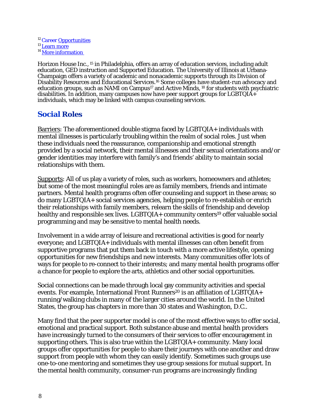<sup>12</sup> Caree[r Opportunities](http://www.advocate.com/career_opportunities.asp)<br><sup>13</sup> Learn more  $14$  More information

Horizon House Inc., <sup>15</sup> in Philadelphia, offers an array of education services, including adult education, GED instruction and Supported Education. The University of Illinois at Urbana-Champaign offers a variety of academic and nonacademic supports through its Division of Disability Resources and Educational Services.16 Some colleges have student-run advocacy and education groups, such as NAMI on Campus<sup>17</sup> and Active Minds, <sup>18</sup> for students with psychiatric disabilities. In addition, many campuses now have peer support groups for LGBTQIA+ individuals, which may be linked with campus counseling services.

#### **Social Roles**

Barriers: The aforementioned double stigma faced by LGBTQIA+ individuals with mental illnesses is particularly troubling within the realm of social roles. Just when these individuals need the reassurance, companionship and emotional strength provided by a social network, their mental illnesses and their sexual orientations and/or gender identities may interfere with family's and friends' ability to maintain social relationships with them.

Supports: All of us play a variety of roles, such as workers, homeowners and athletes; but some of the most meaningful roles are as family members, friends and intimate partners. Mental health programs often offer counseling and support in these areas; so do many LGBTQIA+ social services agencies, helping people to re-establish or enrich their relationships with family members, relearn the skills of friendship and develop healthy and responsible sex lives. LGBTQIA+ community centers<sup>19</sup> offer valuable social programming and may be sensitive to mental health needs.

Involvement in a wide array of leisure and recreational activities is good for nearly everyone; and LGBTQIA+ individuals with mental illnesses can often benefit from supportive programs that put them back in touch with a more active lifestyle, opening opportunities for new friendships and new interests. Many communities offer lots of ways for people to re-connect to their interests; and many mental health programs offer a chance for people to explore the arts, athletics and other social opportunities.

Social connections can be made through local gay community activities and special events. For example, International Front Runners<sup>20</sup> is an affiliation of LGBTQIA+ running/walking clubs in many of the larger cities around the world. In the United States, the group has chapters in more than 30 states and Washington, D.C..

Many find that the peer supporter model is one of the most effective ways to offer social, emotional and practical support. Both substance abuse and mental health providers have increasingly turned to the consumers of their services to offer encouragement in supporting others. This is also true within the LGBTQIA+ community. Many local groups offer opportunities for people to share their journeys with one another and draw support from people with whom they can easily identify. Sometimes such groups use one-to-one mentoring and sometimes they use group sessions for mutual support. In the mental health community, consumer-run programs are increasingly finding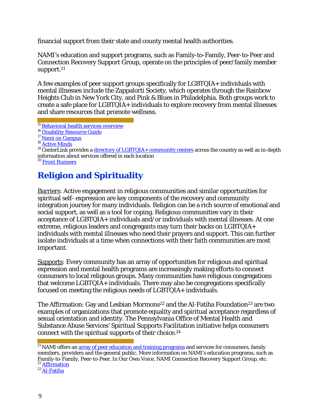financial support from their state and county mental health authorities.

NAMI's education and support programs, such as Family-to-Family, Peer-to-Peer and Connection Recovery Support Group, operate on the principles of peer/family member support.<sup>21</sup>

A few examples of peer support groups specifically for LGBTQIA+ individuals with mental illnesses include the Zappalorti Society, which operates through the Rainbow Heights Club in New York City, and Pink & Blues in Philadelphia. Both groups work to create a safe place for LGBTQIA+ individuals to explore recovery from mental illnesses and share resources that promote wellness.

 $19$  CenterLink provides a [directory of LGBTQIA+](http://www.lgbtcenters.org/) community centers across the country as well as in-depth information about services offered in each location

20 Front [Runners](http://www.frontrunners.org/)

## **Religion and Spirituality**

Barriers: Active engagement in religious communities and similar opportunities for spiritual self- expression are key components of the recovery and community integration journey for many individuals. Religion can be a rich source of emotional and social support, as well as a tool for coping. Religious communities vary in their acceptance of LGBTQIA+ individuals and/or individuals with mental illnesses. At one extreme, religious leaders and congregants may turn their backs on LGBTQIA+ individuals with mental illnesses who need their prayers and support. This can further isolate individuals at a time when connections with their faith communities are most important.

Supports: Every community has an array of opportunities for religious and spiritual expression and mental health programs are increasingly making efforts to connect consumers to local religious groups. Many communities have religious congregations that welcome LGBTQIA+ individuals. There may also be congregations specifically focused on meeting the religious needs of LGBTQIA+ individuals.

The Affirmation: Gay and Lesbian Mormons<sup>22</sup> and the Al-Fatiha Foundation<sup>23</sup> are two examples of organizations that promote equality and spiritual acceptance regardless of sexual orientation and identity. The Pennsylvania Office of Mental Health and Substance Abuse Services' Spiritual Supports Facilitation initiative helps consumers connect with the spiritual supports of their choice.24

<sup>&</sup>lt;sup>15</sup> Behavioral health services [overview](http://www.hhinc.org/AdminHome.asp?ArticleID=312)

<sup>&</sup>lt;sup>16</sup> Disability Resource Guide

 $18$  Active [Minds](http://www.activeminds.org/)

 $^{21}$  NAMI offers an  $\frac{array}{\text{or}$  of peer education and training programs and services for consumers, family members, providers and the general public. More information on NAMI's education programs, such as Family-to-Family, Peer-to-Peer, In Our Own Voice, NAMI Connection Recovery Support Group, etc.<br><sup>22</sup> Affirmation

 $23$  Al[-Fatiha](http://www.al-fatiha.org/)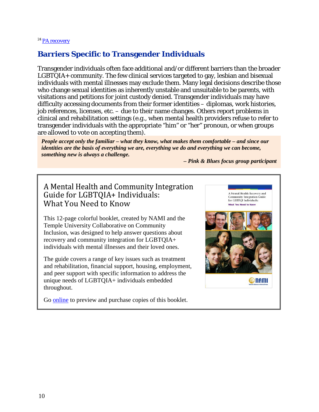#### <sup>24</sup> PA [recovery](http://www.parecovery.org/services_tti.)

## **Barriers Specific to Transgender Individuals**

Transgender individuals often face additional and/or different barriers than the broader LGBTQIA+ community. The few clinical services targeted to gay, lesbian and bisexual individuals with mental illnesses may exclude them. Many legal decisions describe those who change sexual identities as inherently unstable and unsuitable to be parents, with visitations and petitions for joint custody denied. Transgender individuals may have difficulty accessing documents from their former identities – diplomas, work histories, job references, licenses, etc. – due to their name changes. Others report problems in clinical and rehabilitation settings (*e.g.,* when mental health providers refuse to refer to transgender individuals with the appropriate "him" or "her" pronoun, or when groups are allowed to vote on accepting them).

*People accept only the familiar – what they know, what makes them comfortable – and since our identities are the basis of everything we are, everything we do and everything we can become, something new is always a challenge.*

*– Pink & Blues focus group participant*

## A Mental Health and Community Integration Guide for LGBTQIA+ Individuals: What You Need to Know

This 12-page colorful booklet, created by NAMI and the Temple University Collaborative on Community Inclusion, was designed to help answer questions about recovery and community integration for LGBTQIA+ individuals with mental illnesses and their loved ones.

The guide covers a range of key issues such as treatment and rehabilitation, financial support, housing, employment, and peer support with specific information to address the unique needs of LGBTQIA+ individuals embedded throughout.

Community Integration Guide for GLBTQI Individuals: **@nami** 

A Mental Health Recovery and

Go **online** to preview and purchase copies of this booklet.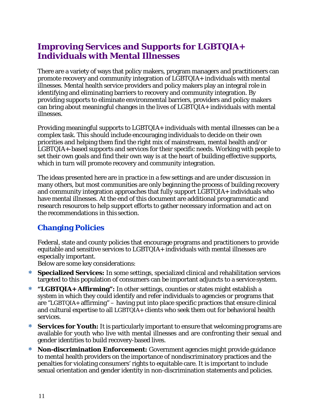## **Improving Services and Supports for LGBTQIA+ Individuals with Mental Illnesses**

There are a variety of ways that policy makers, program managers and practitioners can promote recovery and community integration of LGBTQIA+ individuals with mental illnesses. Mental health service providers and policy makers play an integral role in identifying and eliminating barriers to recovery and community integration. By providing supports to eliminate environmental barriers, providers and policy makers can bring about meaningful changes in the lives of LGBTQIA+ individuals with mental illnesses.

Providing meaningful supports to LGBTQIA+ individuals with mental illnesses can be a complex task. This should include encouraging individuals to decide on their own priorities and helping them find the right mix of mainstream, mental health and/or LGBTQIA+-based supports and services for their specific needs. Working with people to set their own goals and find their own way is at the heart of building effective supports, which in turn will promote recovery and community integration.

The ideas presented here are in practice in a few settings and are under discussion in many others, but most communities are only beginning the process of building recovery and community integration approaches that fully support LGBTQIA+ individuals who have mental illnesses. At the end of this document are additional programmatic and research resources to help support efforts to gather necessary information and act on the recommendations in this section.

## **Changing Policies**

Federal, state and county policies that encourage programs and practitioners to provide equitable and sensitive services to LGBTQIA+ individuals with mental illnesses are especially important.

Below are some key considerations:

- ∗ **Specialized Services:** In some settings, specialized clinical and rehabilitation services targeted to this population of consumers can be important adjuncts to a service system.
- ∗ **"LGBTQIA+ Affirming":** In other settings, counties or states might establish a system in which they could identify and refer individuals to agencies or programs that are "LGBTQIA+ affirming" – having put into place specific practices that ensure clinical and cultural expertise to all LGBTQIA+ clients who seek them out for behavioral health services.
- **Services for Youth:** It is particularly important to ensure that welcoming programs are available for youth who live with mental illnesses and are confronting their sexual and gender identities to build recovery-based lives.
- ∗ **Non-discrimination Enforcement:** Government agencies might provide guidance to mental health providers on the importance of nondiscriminatory practices and the penalties for violating consumers' rights to equitable care. It is important to include sexual orientation and gender identity in non-discrimination statements and policies.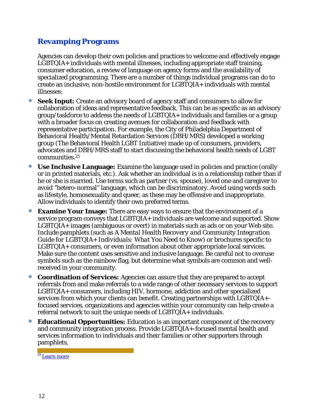## **Revamping Programs**

Agencies can develop their own policies and practices to welcome and effectively engage LGBTQIA+ individuals with mental illnesses, including appropriate staff training, consumer education, a review of language on agency forms and the availability of specialized programming. There are a number of things individual programs can do to create an inclusive, non-hostile environment for LGBTQIA+ individuals with mental illnesses:

- **Seek Input:** Create an advisory board of agency staff and consumers to allow for collaboration of ideas and representative feedback. This can be as specific as an advisory group/taskforce to address the needs of LGBTQIA+ individuals and families or a group with a broader focus on creating avenues for collaboration and feedback with representative participation. For example, the City of Philadelphia Department of Behavioral Health/Mental Retardation Services (DBH/MRS) developed a working group (The Behavioral Health LGBT Initiative) made up of consumers, providers, advocates and DBH/MRS staff to start discussing the behavioral health needs of LGBT communities.25
- ∗ **Use Inclusive Language:** Examine the language used in policies and practice (orally or in printed materials, etc.). Ask whether an individual is in a relationship rather than if he or she is married. Use terms such as partner (vs. spouse), loved one and caregiver to avoid "hetero-normal" language, which can be discriminatory. Avoid using words such as lifestyle, homosexuality and queer, as these may be offensive and inappropriate. Allow individuals to identify their own preferred terms.
- ∗ **Examine Your Image:** There are easy ways to ensure that the environment of a service program conveys that LGBTQIA+ individuals are welcome and supported. Show LGBTQIA+ images (ambiguous or overt) in materials such as ads or on your Web site. Include pamphlets (such as *A Mental Health Recovery and Community Integration Guide for LGBTQIA+ Individuals: What You Need to Know)* or brochures specific to LGBTQIA+ consumers, or even information about other appropriate local services. Make sure the content uses sensitive and inclusive language. Be careful not to overuse symbols such as the rainbow flag, but determine what symbols are common and wellreceived in your community.
- ∗ **Coordination of Services:** Agencies can assure that they are prepared to accept referrals from and make referrals to a wide range of other necessary services to support LGBTQIA+ consumers, including HIV, hormone, addiction and other specialized services from which your clients can benefit. Creating partnerships with LGBTQIA+ focused services, organizations and agencies within your community can help create a referral network to suit the unique needs of LGBTQIA+ individuals.
- **Educational Opportunities:** Education is an important component of the recovery and community integration process. Provide LGBTQIA+-focused mental health and services information to individuals and their families or other supporters through pamphlets,

<sup>25</sup> Learn more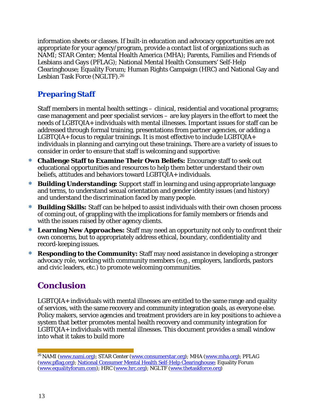information sheets or classes. If built-in education and advocacy opportunities are not appropriate for your agency/program, provide a contact list of organizations such as NAMI; STAR Center; Mental Health America (MHA); Parents, Families and Friends of Lesbians and Gays (PFLAG); National Mental Health Consumers' Self-Help Clearinghouse; Equality Forum; Human Rights Campaign (HRC) and National Gay and Lesbian Task Force (NGLTF).26

## **Preparing Staff**

Staff members in mental health settings – clinical, residential and vocational programs; case management and peer specialist services – are key players in the effort to meet the needs of LGBTQIA+ individuals with mental illnesses. Important issues for staff can be addressed through formal training, presentations from partner agencies, or adding a LGBTQIA+ focus to regular trainings. It is most effective to include LGBTQIA+ individuals in planning and carrying out these trainings. There are a variety of issues to consider in order to ensure that staff is welcoming and supportive:

- ∗ **Challenge Staff to Examine Their Own Beliefs:** Encourage staff to seek out educational opportunities and resources to help them better understand their own beliefs, attitudes and behaviors toward LGBTQIA+ individuals.
- ∗ **Building Understanding:** Support staff in learning and using appropriate language and terms, to understand sexual orientation and gender identity issues (and history) and understand the discrimination faced by many people.
- ∗ **Building Skills:** Staff can be helped to assist individuals with their own chosen process of coming out, of grappling with the implications for family members or friends and with the issues raised by other agency clients.
- ∗ **Learning New Approaches:** Staff may need an opportunity not only to confront their own concerns, but to appropriately address ethical, boundary, confidentiality and record-keeping issues.
- ∗ **Responding to the Community:** Staff may need assistance in developing a stronger advocacy role, working with community members (*e.g*., employers, landlords, pastors and civic leaders, etc.) to promote welcoming communities.

## **Conclusion**

LGBTQIA+ individuals with mental illnesses are entitled to the same range and quality of services, with the same recovery and community integration goals, as everyone else. Policy makers, service agencies and treatment providers are in key positions to achieve a system that better promotes mental health recovery and community integration for LGBTQIA+ individuals with mental illnesses. This document provides a small window into what it takes to build more

<sup>&</sup>lt;sup>26</sup> NAMI (www.nami.org); STAR Center (www.consumerstar.org); MHA (www.mha.org); PFLAG (www.pflag.org); [National Consumer Mental Health Self-Help Clearinghouse;](http://www.mhselfhelp.org/) Equality Forum (www.equalityforum.com); HRC (www.hrc.org); NGLTF (www.thetaskforce.org)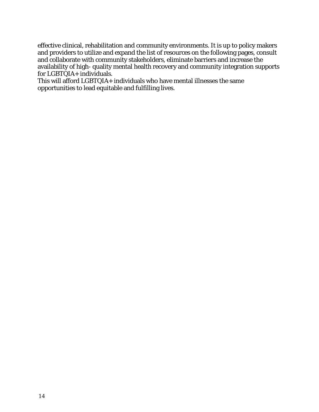effective clinical, rehabilitation and community environments. It is up to policy makers and providers to utilize and expand the list of resources on the following pages, consult and collaborate with community stakeholders, eliminate barriers and increase the availability of high- quality mental health recovery and community integration supports for LGBTQIA+ individuals.

This will afford LGBTQIA+ individuals who have mental illnesses the same opportunities to lead equitable and fulfilling lives.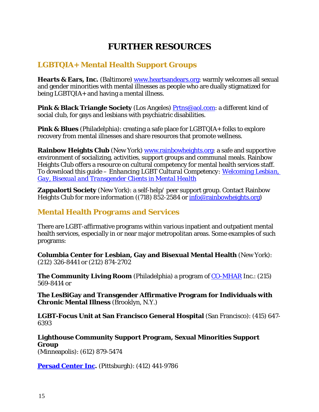## **FURTHER RESOURCES**

## **LGBTQIA+ Mental Health Support Groups**

**Hearts & Ears, Inc.** (Baltimore) [www.heartsandears.org: w](http://www.heartsandears.org/)armly welcomes all sexual and gender minorities with mental illnesses as people who are dually stigmatized for being LGBTQIA+ and having a mental illness.

**Pink & Black Triangle Society** (Los Angeles) [Prtns@aol.com: a](mailto:Prtns@aol.com) different kind of social club, for gays and lesbians with psychiatric disabilities.

**Pink & Blues** (Philadelphia): creating a safe place for LGBTQIA+ folks to explore recovery from mental illnesses and share resources that promote wellness.

**Rainbow Heights Club** (New York) [www.rainbowheights.org: a](http://www.rainbowheights.org/) safe and supportive environment of socializing, activities, support groups and communal meals. Rainbow Heights Club offers a resource on cultural competency for mental health services staff. To download this guide – *Enhancing LGBT Cultural Competency: [Welcoming Lesbian,](http://www.rainbowheights.org/resources.html)  [Gay, Bisexual and Transgender Clients in Mental Health](http://www.rainbowheights.org/resources.html)*

**Zappalorti Society** (New York): a self-help/ peer support group. Contact Rainbow Heights Club for more information ((718) 852-2584 or info@rainbowheights.org)

#### **Mental Health Programs and Services**

There are LGBT-affirmative programs within various inpatient and outpatient mental health services, especially in or near major metropolitan areas. Some examples of such programs:

**Columbia Center for Lesbian, Gay and Bisexual Mental Health** (New York): (212) 326-8441 or (212) 874-2702

**The Community Living Room** (Philadelphia) a program of [CO-MHAR](http://www.comhar.org/) Inc.: (215) 569-8414 or

**The LesBiGay and Transgender Affirmative Program for Individuals with Chronic Mental Illness** (Brooklyn, N.Y.)

**LGBT-Focus Unit at San Francisco General Hospital** (San Francisco): (415) 647- 6393

**Lighthouse Community Support Program, Sexual Minorities Support Group** (Minneapolis): (612) 879-5474

**[Persad Center Inc.](http://www.persadcenter.org/)** (Pittsburgh): (412) 441-9786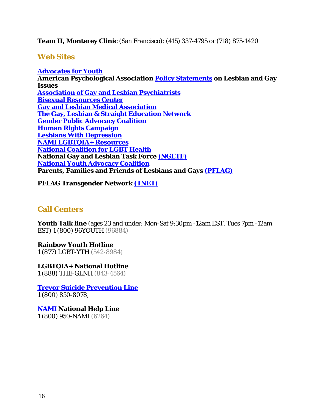#### **Team II, Monterey Clinic** (San Francisco): (415) 337-4795 or (718) 875-1420

#### **Web Sites**

**[Advocates for Youth](http://www.youthresource.com/) American Psychological Association [Policy Statements](http://www.apa.org/pi/lgbc/policy) on Lesbian and Gay Issues Association of [Gay and Lesbian Psychiatrists](http://www.aglp.org/index.html) [Bisexual Resources Center](http://www.biresource.org/) [Gay and Lesbian Medical Association](http://www.glma.org/) [The Gay, Lesbian & Straight Education Network](http://www.glsen.org/) [Gender Public Advocacy](http://www.gpac.org/) Coalition [Human Rights Campaign](http://www.hrc.org/issues/workplace.asp) [Lesbians With Depression](http://www.onelist.com/subscribe/LesbiansWDepression) [NAMI LGBTQIA+](http://www.nami.org/glbt) Resources [National Coalition for LGBT Health](http://www.lgbthealth.net/) National Gay and Lesbian Task Force [\(NGLTF\)](http://www.thetaskforce.org/) [National Youth Advocacy Coalition](http://www.nyacyouth.org/) Parents, Families and Friends of Lesbians and Gays [\(PFLAG\)](http://www.pflag.org/)**

**PFLAG Transgender Network (TNET)**

#### **Call Centers**

**Youth Talk line** (ages 23 and under; Mon-Sat 9:30pm -12am EST, Tues 7pm -12am EST) 1 (800) 96YOUTH (96884)

**Rainbow Youth Hotline** 1 (877) LGBT-YTH (542-8984)

**LGBTQIA+ National Hotline** 1 (888) THE-GLNH (843-4564)

**[Trevor Suicide Prevention Line](http://www.thetrevorproject.org/)** 1 (800) 850-8078,

**[NAMI](http://www.nami.org/glbt) National Help Line** 1 (800) 950-NAMI (6264)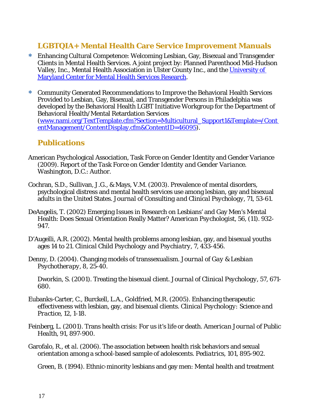#### **LGBTQIA+ Mental Health Care Service Improvement Manuals**

- ∗ Enhancing Cultural Competence: Welcoming Lesbian, Gay, Bisexual and Transgender Clients in Mental Health Services. A joint project by: Planned Parenthood Mid-Hudson Valley, Inc., Mental Health Association in Ulster County Inc., and the [University of](http://www.rainbowheights.org/documents/welcomingLGBTconsumersintomentalhealthserv%20icespacket.pdf)  [Maryland Center for Mental Health Services Research.](http://www.rainbowheights.org/documents/welcomingLGBTconsumersintomentalhealthserv%20icespacket.pdf)
- ∗ Community Generated Recommendations to Improve the Behavioral Health Services Provided to Lesbian, Gay, Bisexual, and Transgender Persons in Philadelphia was developed by the Behavioral Health LGBT Initiative Workgroup for the Department of Behavioral Health/Mental Retardation Services (www.nami.org/TextTemplate.cfm?Section=Multicultural\_Support1&Template=/Cont entManagement/ContentDisplay.cfm&ContentID=46095).

#### **Publications**

- American Psychological Association, Task Force on Gender Identity and Gender Variance (2009). *Report of the Task Force on Gender Identity and Gender Variance*. Washington, D.C.: Author.
- Cochran, S.D., Sullivan, J.G., & Mays, V.M. (2003). Prevalence of mental disorders, psychological distress and mental health services use among lesbian, gay and bisexual adults in the United States. *Journal of Consulting and Clinical Psychology*, 71, 53-61.
- DeAngelis, T. (2002) Emerging Issues in Research on Lesbians' and Gay Men's Mental Health: Does Sexual Orientation Really Matter? *American Psychologist*, 56, (11). 932- 947.
- D'Augelli, A.R. (2002). Mental health problems among lesbian, gay, and bisexual youths ages 14 to 21. *Clinical Child Psychology and Psychiatry*, 7, 433-456.
- Denny, D. (2004). Changing models of transsexualism. *Journal of Gay & Lesbian Psychotherapy*, 8, 25-40.
	- Dworkin, S. (2001). Treating the bisexual client. *Journal of Clinical Psychology*, 57, 671- 680.
- Eubanks-Carter, C., Burckell, L.A., Goldfried, M.R. (2005). Enhancing therapeutic effectiveness with lesbian, gay, and bisexual clients. *Clinical Psychology: Science and Practice*, 12, 1-18.
- Feinberg, L. (2001). Trans health crisis: For us it's life or death. *American Journal of Public Health*, 91, 897-900.
- Garofalo, R., *et al*. (2006). The association between health risk behaviors and sexual orientation among a school-based sample of adolescents. *Pediatrics,* 101, 895-902.

Green, B. (1994). Ethnic-minority lesbians and gay men: Mental health and treatment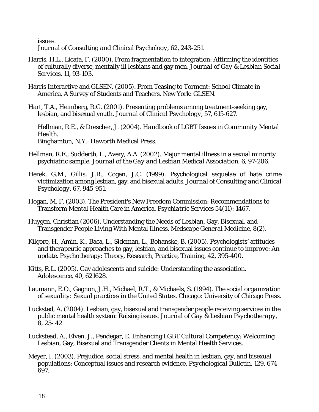issues.

*Journal of Consulting and Clinical Psychology*, 62, 243-251.

- Harris, H.L., Licata, F. (2000). From fragmentation to integration: Affirming the identities of culturally diverse, mentally ill lesbians and gay men. *Journal of Gay & Lesbian Social Services*, 11, 93-103.
- Harris Interactive and GLSEN. (2005). From Teasing to Torment: School Climate in America, A Survey of Students and Teachers. New York: GLSEN.
- Hart, T.A., Heimberg, R.G. (2001). Presenting problems among treatment-seeking gay, lesbian, and bisexual youth*. Journal of Clinical Psychology*, 57, 615-627.

Hellman, R.E., & Drescher, J. (2004). *Handbook of LGBT Issues in Community Mental Health*. Binghamton, N.Y.: Haworth Medical Press.

- Hellman, R.E., Sudderth, L., Avery, A.A. (2002). Major mental illness in a sexual minority psychiatric sample. *Journal of the Gay and Lesbian Medical Association,* 6, 97-206.
- Herek, G.M., Gillis, J.R., Cogan, J.C. (1999). Psychological sequelae of hate crime victimization among lesbian, gay, and bisexual adults. *Journal of Consulting and Clinical Psychology,* 67, 945-951.
- Hogan, M. F. (2003). The President's New Freedom Commission: Recommendations to Transform Mental Health Care in America. *Psychiatric Services* 54(11): 1467.
- Huygen, Christian (2006). Understanding the Needs of Lesbian, Gay, Bisexual, and Transgender People Living With Mental Illness. *Medscape General Medicine*, 8(2).
- Kilgore, H., Amin, K., Baca, L., Sideman, L., Bohanske, B. (2005). Psychologists' attitudes and therapeutic approaches to gay, lesbian, and bisexual issues continue to improve: An update. Psychotherapy: Theory, Research, Practice, Training, 42, 395-400.
- Kitts, R.L. (2005). Gay adolescents and suicide: Understanding the association. Adolescence, 40, 621628.
- Laumann, E.O., Gagnon, J.H., Michael, R.T., & Michaels, S. (1994). *The social organization of sexuality: Sexual practices in the United States*. Chicago: University of Chicago Press.
- Lucksted, A. (2004). Lesbian, gay, bisexual and transgender people receiving services in the public mental health system: Raising issues. *Journal of Gay & Lesbian Psychotherapy,*  8, 25- 42.
- Luckstead, A., Elven, J., Pendegar, E. Enhancing LGBT Cultural Competency: Welcoming Lesbian, Gay, Bisexual and Transgender Clients in Mental Health Services.
- Meyer, I. (2003). Prejudice, social stress, and mental health in lesbian, gay, and bisexual populations: Conceptual issues and research evidence. *Psychological Bulletin*, 129, 674- 697.